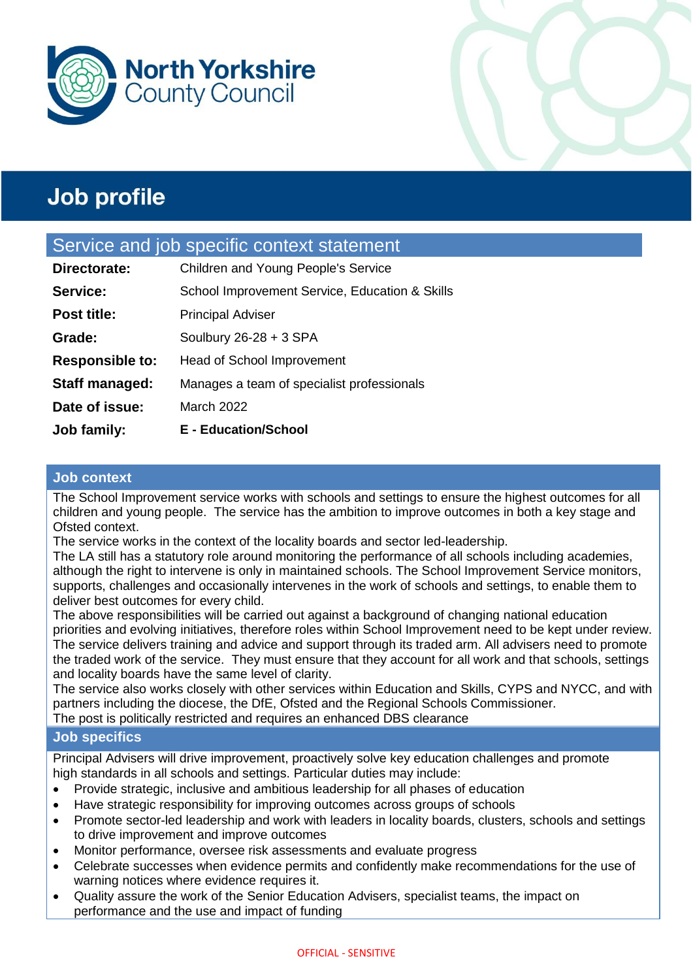



### Service and job specific context statement

| Job family:            | <b>E</b> - Education/School                    |
|------------------------|------------------------------------------------|
| Date of issue:         | March 2022                                     |
| <b>Staff managed:</b>  | Manages a team of specialist professionals     |
| <b>Responsible to:</b> | <b>Head of School Improvement</b>              |
| Grade:                 | Soulbury $26-28 + 3$ SPA                       |
| <b>Post title:</b>     | <b>Principal Adviser</b>                       |
| Service:               | School Improvement Service, Education & Skills |
| Directorate:           | Children and Young People's Service            |

#### **Job context**

The School Improvement service works with schools and settings to ensure the highest outcomes for all children and young people. The service has the ambition to improve outcomes in both a key stage and Ofsted context.

The service works in the context of the locality boards and sector led-leadership.

The LA still has a statutory role around monitoring the performance of all schools including academies, although the right to intervene is only in maintained schools. The School Improvement Service monitors, supports, challenges and occasionally intervenes in the work of schools and settings, to enable them to deliver best outcomes for every child.

The above responsibilities will be carried out against a background of changing national education priorities and evolving initiatives, therefore roles within School Improvement need to be kept under review. The service delivers training and advice and support through its traded arm. All advisers need to promote the traded work of the service. They must ensure that they account for all work and that schools, settings and locality boards have the same level of clarity.

The service also works closely with other services within Education and Skills, CYPS and NYCC, and with partners including the diocese, the DfE, Ofsted and the Regional Schools Commissioner.

The post is politically restricted and requires an enhanced DBS clearance

#### **Job specifics**

Principal Advisers will drive improvement, proactively solve key education challenges and promote high standards in all schools and settings. Particular duties may include:

- Provide strategic, inclusive and ambitious leadership for all phases of education
- Have strategic responsibility for improving outcomes across groups of schools
- Promote sector-led leadership and work with leaders in locality boards, clusters, schools and settings to drive improvement and improve outcomes
- Monitor performance, oversee risk assessments and evaluate progress
- Celebrate successes when evidence permits and confidently make recommendations for the use of warning notices where evidence requires it.
- Quality assure the work of the Senior Education Advisers, specialist teams, the impact on performance and the use and impact of funding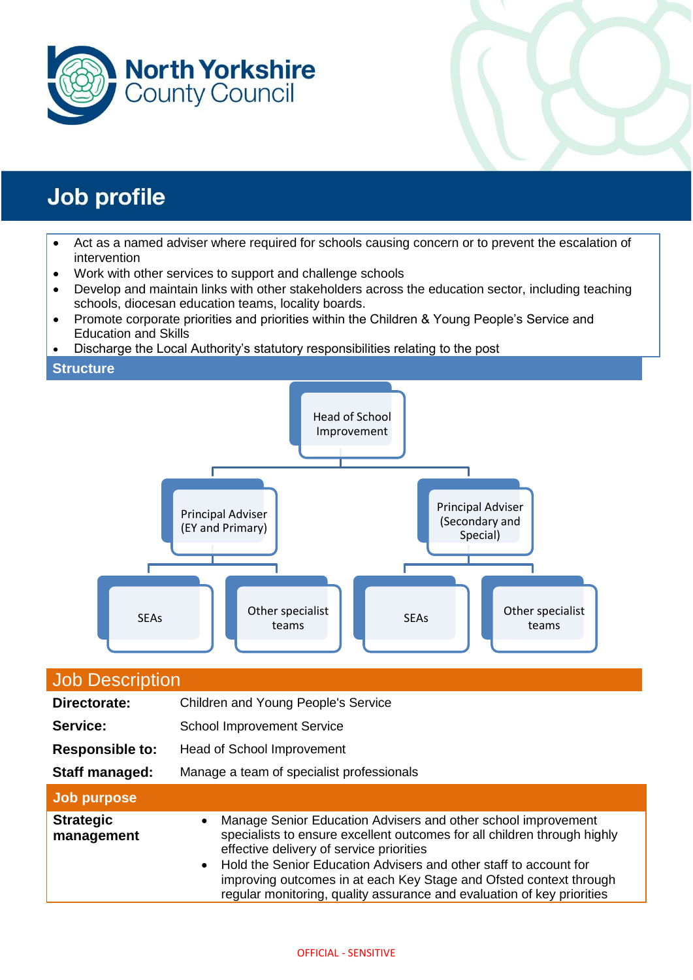



- Act as a named adviser where required for schools causing concern or to prevent the escalation of intervention
- Work with other services to support and challenge schools
- Develop and maintain links with other stakeholders across the education sector, including teaching schools, diocesan education teams, locality boards.
- Promote corporate priorities and priorities within the Children & Young People's Service and Education and Skills
- Discharge the Local Authority's statutory responsibilities relating to the post

#### **Structure**



| <b>Job Description</b>         |                                                                                                                                                                                                                                                                                                                                                                                                                           |  |  |  |
|--------------------------------|---------------------------------------------------------------------------------------------------------------------------------------------------------------------------------------------------------------------------------------------------------------------------------------------------------------------------------------------------------------------------------------------------------------------------|--|--|--|
| Directorate:                   | Children and Young People's Service                                                                                                                                                                                                                                                                                                                                                                                       |  |  |  |
| Service:                       | <b>School Improvement Service</b>                                                                                                                                                                                                                                                                                                                                                                                         |  |  |  |
| <b>Responsible to:</b>         | <b>Head of School Improvement</b>                                                                                                                                                                                                                                                                                                                                                                                         |  |  |  |
| Staff managed:                 | Manage a team of specialist professionals                                                                                                                                                                                                                                                                                                                                                                                 |  |  |  |
| Job purpose                    |                                                                                                                                                                                                                                                                                                                                                                                                                           |  |  |  |
| <b>Strategic</b><br>management | Manage Senior Education Advisers and other school improvement<br>$\bullet$<br>specialists to ensure excellent outcomes for all children through highly<br>effective delivery of service priorities<br>• Hold the Senior Education Advisers and other staff to account for<br>improving outcomes in at each Key Stage and Ofsted context through<br>regular monitoring, quality assurance and evaluation of key priorities |  |  |  |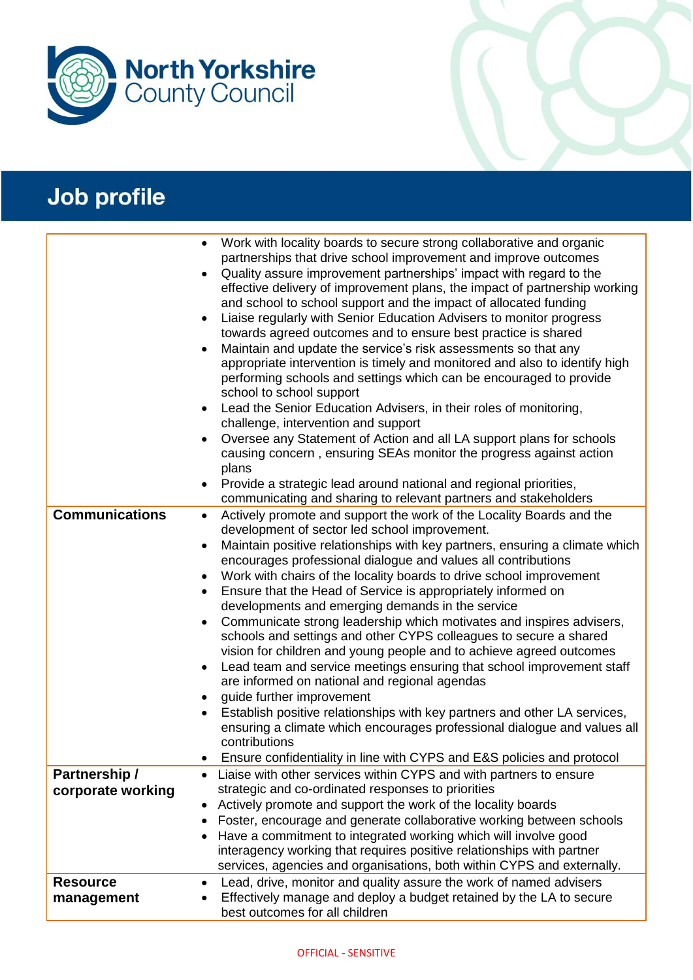

|                       | Work with locality boards to secure strong collaborative and organic<br>$\bullet$<br>partnerships that drive school improvement and improve outcomes<br>Quality assure improvement partnerships' impact with regard to the<br>$\bullet$<br>effective delivery of improvement plans, the impact of partnership working<br>and school to school support and the impact of allocated funding<br>Liaise regularly with Senior Education Advisers to monitor progress<br>$\bullet$<br>towards agreed outcomes and to ensure best practice is shared<br>Maintain and update the service's risk assessments so that any<br>$\bullet$<br>appropriate intervention is timely and monitored and also to identify high<br>performing schools and settings which can be encouraged to provide<br>school to school support<br>Lead the Senior Education Advisers, in their roles of monitoring,<br>$\bullet$<br>challenge, intervention and support<br>Oversee any Statement of Action and all LA support plans for schools<br>$\bullet$<br>causing concern, ensuring SEAs monitor the progress against action<br>plans<br>Provide a strategic lead around national and regional priorities, |
|-----------------------|---------------------------------------------------------------------------------------------------------------------------------------------------------------------------------------------------------------------------------------------------------------------------------------------------------------------------------------------------------------------------------------------------------------------------------------------------------------------------------------------------------------------------------------------------------------------------------------------------------------------------------------------------------------------------------------------------------------------------------------------------------------------------------------------------------------------------------------------------------------------------------------------------------------------------------------------------------------------------------------------------------------------------------------------------------------------------------------------------------------------------------------------------------------------------------|
|                       | communicating and sharing to relevant partners and stakeholders                                                                                                                                                                                                                                                                                                                                                                                                                                                                                                                                                                                                                                                                                                                                                                                                                                                                                                                                                                                                                                                                                                                 |
| <b>Communications</b> | Actively promote and support the work of the Locality Boards and the<br>٠                                                                                                                                                                                                                                                                                                                                                                                                                                                                                                                                                                                                                                                                                                                                                                                                                                                                                                                                                                                                                                                                                                       |
|                       | development of sector led school improvement.                                                                                                                                                                                                                                                                                                                                                                                                                                                                                                                                                                                                                                                                                                                                                                                                                                                                                                                                                                                                                                                                                                                                   |
|                       | Maintain positive relationships with key partners, ensuring a climate which<br>$\bullet$<br>encourages professional dialogue and values all contributions                                                                                                                                                                                                                                                                                                                                                                                                                                                                                                                                                                                                                                                                                                                                                                                                                                                                                                                                                                                                                       |
|                       | Work with chairs of the locality boards to drive school improvement<br>٠                                                                                                                                                                                                                                                                                                                                                                                                                                                                                                                                                                                                                                                                                                                                                                                                                                                                                                                                                                                                                                                                                                        |
|                       | Ensure that the Head of Service is appropriately informed on<br>$\bullet$                                                                                                                                                                                                                                                                                                                                                                                                                                                                                                                                                                                                                                                                                                                                                                                                                                                                                                                                                                                                                                                                                                       |
|                       | developments and emerging demands in the service                                                                                                                                                                                                                                                                                                                                                                                                                                                                                                                                                                                                                                                                                                                                                                                                                                                                                                                                                                                                                                                                                                                                |
|                       | Communicate strong leadership which motivates and inspires advisers,<br>$\bullet$<br>schools and settings and other CYPS colleagues to secure a shared<br>vision for children and young people and to achieve agreed outcomes<br>Lead team and service meetings ensuring that school improvement staff<br>٠<br>are informed on national and regional agendas<br>quide further improvement<br>$\bullet$                                                                                                                                                                                                                                                                                                                                                                                                                                                                                                                                                                                                                                                                                                                                                                          |
|                       | Establish positive relationships with key partners and other LA services,<br>$\bullet$                                                                                                                                                                                                                                                                                                                                                                                                                                                                                                                                                                                                                                                                                                                                                                                                                                                                                                                                                                                                                                                                                          |
|                       | ensuring a climate which encourages professional dialogue and values all<br>contributions                                                                                                                                                                                                                                                                                                                                                                                                                                                                                                                                                                                                                                                                                                                                                                                                                                                                                                                                                                                                                                                                                       |
|                       | Ensure confidentiality in line with CYPS and E&S policies and protocol                                                                                                                                                                                                                                                                                                                                                                                                                                                                                                                                                                                                                                                                                                                                                                                                                                                                                                                                                                                                                                                                                                          |
| Partnership /         | Liaise with other services within CYPS and with partners to ensure<br>$\bullet$                                                                                                                                                                                                                                                                                                                                                                                                                                                                                                                                                                                                                                                                                                                                                                                                                                                                                                                                                                                                                                                                                                 |
| corporate working     | strategic and co-ordinated responses to priorities                                                                                                                                                                                                                                                                                                                                                                                                                                                                                                                                                                                                                                                                                                                                                                                                                                                                                                                                                                                                                                                                                                                              |
|                       | Actively promote and support the work of the locality boards                                                                                                                                                                                                                                                                                                                                                                                                                                                                                                                                                                                                                                                                                                                                                                                                                                                                                                                                                                                                                                                                                                                    |
|                       | Foster, encourage and generate collaborative working between schools                                                                                                                                                                                                                                                                                                                                                                                                                                                                                                                                                                                                                                                                                                                                                                                                                                                                                                                                                                                                                                                                                                            |
|                       | Have a commitment to integrated working which will involve good<br>$\bullet$                                                                                                                                                                                                                                                                                                                                                                                                                                                                                                                                                                                                                                                                                                                                                                                                                                                                                                                                                                                                                                                                                                    |
|                       | interagency working that requires positive relationships with partner                                                                                                                                                                                                                                                                                                                                                                                                                                                                                                                                                                                                                                                                                                                                                                                                                                                                                                                                                                                                                                                                                                           |
|                       | services, agencies and organisations, both within CYPS and externally.                                                                                                                                                                                                                                                                                                                                                                                                                                                                                                                                                                                                                                                                                                                                                                                                                                                                                                                                                                                                                                                                                                          |
| <b>Resource</b>       | Lead, drive, monitor and quality assure the work of named advisers<br>٠                                                                                                                                                                                                                                                                                                                                                                                                                                                                                                                                                                                                                                                                                                                                                                                                                                                                                                                                                                                                                                                                                                         |
| management            | Effectively manage and deploy a budget retained by the LA to secure                                                                                                                                                                                                                                                                                                                                                                                                                                                                                                                                                                                                                                                                                                                                                                                                                                                                                                                                                                                                                                                                                                             |
|                       | best outcomes for all children                                                                                                                                                                                                                                                                                                                                                                                                                                                                                                                                                                                                                                                                                                                                                                                                                                                                                                                                                                                                                                                                                                                                                  |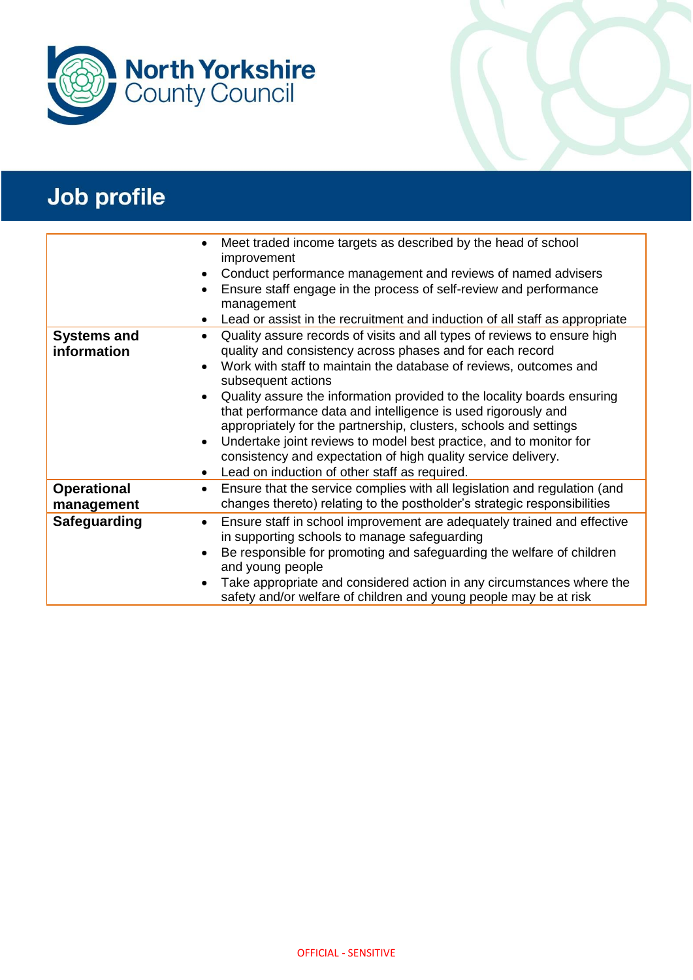

|                                   | Meet traded income targets as described by the head of school<br>improvement<br>Conduct performance management and reviews of named advisers<br>Ensure staff engage in the process of self-review and performance<br>management<br>Lead or assist in the recruitment and induction of all staff as appropriate                                                                                                                                                                                                                                                                                                                                                                                             |
|-----------------------------------|------------------------------------------------------------------------------------------------------------------------------------------------------------------------------------------------------------------------------------------------------------------------------------------------------------------------------------------------------------------------------------------------------------------------------------------------------------------------------------------------------------------------------------------------------------------------------------------------------------------------------------------------------------------------------------------------------------|
| <b>Systems and</b><br>information | Quality assure records of visits and all types of reviews to ensure high<br>$\bullet$<br>quality and consistency across phases and for each record<br>Work with staff to maintain the database of reviews, outcomes and<br>$\bullet$<br>subsequent actions<br>Quality assure the information provided to the locality boards ensuring<br>$\bullet$<br>that performance data and intelligence is used rigorously and<br>appropriately for the partnership, clusters, schools and settings<br>Undertake joint reviews to model best practice, and to monitor for<br>$\bullet$<br>consistency and expectation of high quality service delivery.<br>Lead on induction of other staff as required.<br>$\bullet$ |
| <b>Operational</b><br>management  | Ensure that the service complies with all legislation and regulation (and<br>$\bullet$<br>changes thereto) relating to the postholder's strategic responsibilities                                                                                                                                                                                                                                                                                                                                                                                                                                                                                                                                         |
| Safeguarding                      | Ensure staff in school improvement are adequately trained and effective<br>$\bullet$<br>in supporting schools to manage safeguarding<br>Be responsible for promoting and safeguarding the welfare of children<br>and young people<br>Take appropriate and considered action in any circumstances where the<br>safety and/or welfare of children and young people may be at risk                                                                                                                                                                                                                                                                                                                            |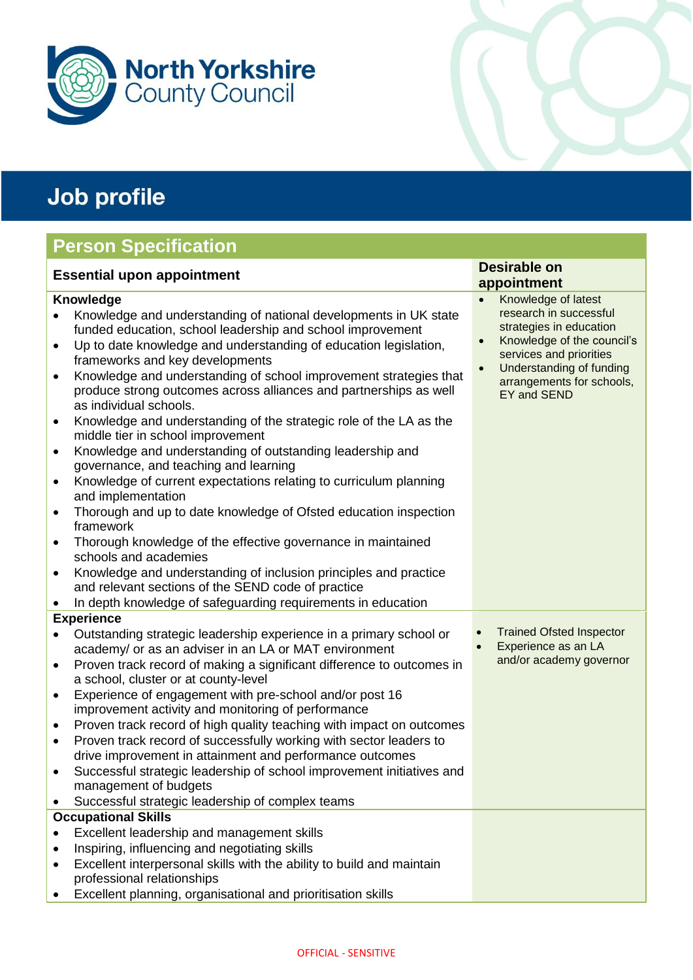

### **Person Specification**

| <b>Essential upon appointment</b>                                                                                 |                                                                                                                                                                                                                                                                                                                                                                                                                                                                                                                                                                                                                                                                                                                                                                                                                                                                                                                                                                                                                                                                                                               | <b>Desirable on</b><br>appointment |                                                                                                                                                                                                           |
|-------------------------------------------------------------------------------------------------------------------|---------------------------------------------------------------------------------------------------------------------------------------------------------------------------------------------------------------------------------------------------------------------------------------------------------------------------------------------------------------------------------------------------------------------------------------------------------------------------------------------------------------------------------------------------------------------------------------------------------------------------------------------------------------------------------------------------------------------------------------------------------------------------------------------------------------------------------------------------------------------------------------------------------------------------------------------------------------------------------------------------------------------------------------------------------------------------------------------------------------|------------------------------------|-----------------------------------------------------------------------------------------------------------------------------------------------------------------------------------------------------------|
| $\bullet$<br>$\bullet$<br>$\bullet$<br>$\bullet$<br>$\bullet$<br>$\bullet$<br>$\bullet$<br>$\bullet$<br>$\bullet$ | <b>Knowledge</b><br>Knowledge and understanding of national developments in UK state<br>funded education, school leadership and school improvement<br>Up to date knowledge and understanding of education legislation,<br>frameworks and key developments<br>Knowledge and understanding of school improvement strategies that<br>produce strong outcomes across alliances and partnerships as well<br>as individual schools.<br>Knowledge and understanding of the strategic role of the LA as the<br>middle tier in school improvement<br>Knowledge and understanding of outstanding leadership and<br>governance, and teaching and learning<br>Knowledge of current expectations relating to curriculum planning<br>and implementation<br>Thorough and up to date knowledge of Ofsted education inspection<br>framework<br>Thorough knowledge of the effective governance in maintained<br>schools and academies<br>Knowledge and understanding of inclusion principles and practice<br>and relevant sections of the SEND code of practice<br>In depth knowledge of safeguarding requirements in education | $\bullet$<br>$\bullet$             | Knowledge of latest<br>research in successful<br>strategies in education<br>Knowledge of the council's<br>services and priorities<br>Understanding of funding<br>arrangements for schools,<br>EY and SEND |
| $\bullet$<br>$\bullet$<br>$\bullet$<br>$\bullet$<br>$\bullet$<br>$\bullet$<br>٠                                   | <b>Experience</b><br>Outstanding strategic leadership experience in a primary school or<br>academy/ or as an adviser in an LA or MAT environment<br>Proven track record of making a significant difference to outcomes in<br>a school, cluster or at county-level<br>Experience of engagement with pre-school and/or post 16<br>improvement activity and monitoring of performance<br>Proven track record of high quality teaching with impact on outcomes<br>Proven track record of successfully working with sector leaders to<br>drive improvement in attainment and performance outcomes<br>Successful strategic leadership of school improvement initiatives and<br>management of budgets<br>Successful strategic leadership of complex teams                                                                                                                                                                                                                                                                                                                                                            |                                    | <b>Trained Ofsted Inspector</b><br>Experience as an LA<br>and/or academy governor                                                                                                                         |
| $\bullet$<br>$\bullet$                                                                                            | <b>Occupational Skills</b><br>Excellent leadership and management skills<br>Inspiring, influencing and negotiating skills<br>Excellent interpersonal skills with the ability to build and maintain<br>professional relationships<br>Excellent planning, organisational and prioritisation skills                                                                                                                                                                                                                                                                                                                                                                                                                                                                                                                                                                                                                                                                                                                                                                                                              |                                    |                                                                                                                                                                                                           |